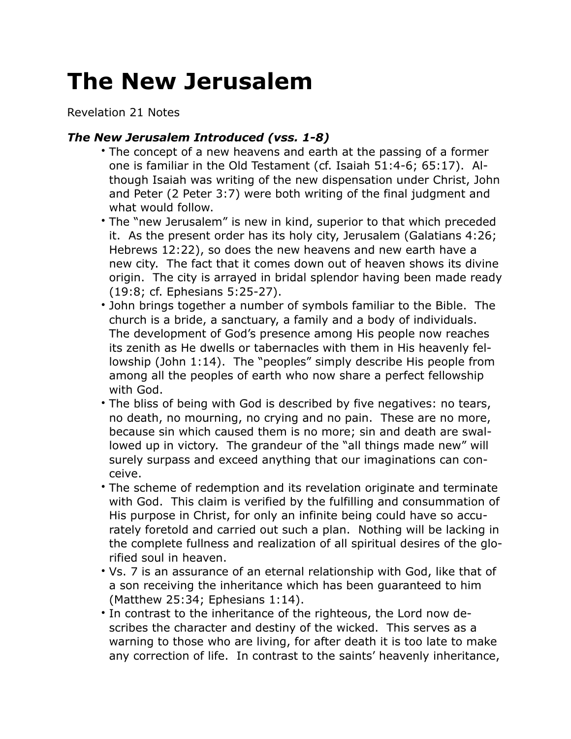## **The New Jerusalem**

Revelation 21 Notes

## *The New Jerusalem Introduced (vss. 1-8)*

- The concept of a new heavens and earth at the passing of a former one is familiar in the Old Testament (cf. Isaiah 51:4-6; 65:17). Although Isaiah was writing of the new dispensation under Christ, John and Peter (2 Peter 3:7) were both writing of the final judgment and what would follow.
- The "new Jerusalem" is new in kind, superior to that which preceded it. As the present order has its holy city, Jerusalem (Galatians 4:26; Hebrews 12:22), so does the new heavens and new earth have a new city. The fact that it comes down out of heaven shows its divine origin. The city is arrayed in bridal splendor having been made ready (19:8; cf. Ephesians 5:25-27).
- John brings together a number of symbols familiar to the Bible. The church is a bride, a sanctuary, a family and a body of individuals. The development of God's presence among His people now reaches its zenith as He dwells or tabernacles with them in His heavenly fellowship (John 1:14). The "peoples" simply describe His people from among all the peoples of earth who now share a perfect fellowship with God.
- The bliss of being with God is described by five negatives: no tears, no death, no mourning, no crying and no pain. These are no more, because sin which caused them is no more; sin and death are swallowed up in victory. The grandeur of the "all things made new" will surely surpass and exceed anything that our imaginations can conceive.
- The scheme of redemption and its revelation originate and terminate with God. This claim is verified by the fulfilling and consummation of His purpose in Christ, for only an infinite being could have so accurately foretold and carried out such a plan. Nothing will be lacking in the complete fullness and realization of all spiritual desires of the glorified soul in heaven.
- Vs. 7 is an assurance of an eternal relationship with God, like that of a son receiving the inheritance which has been guaranteed to him (Matthew 25:34; Ephesians 1:14).
- In contrast to the inheritance of the righteous, the Lord now describes the character and destiny of the wicked. This serves as a warning to those who are living, for after death it is too late to make any correction of life. In contrast to the saints' heavenly inheritance,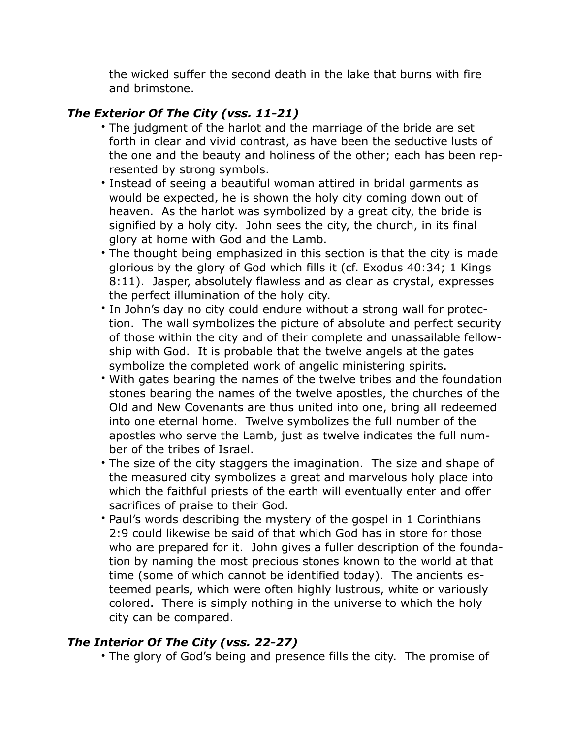the wicked suffer the second death in the lake that burns with fire and brimstone.

## *The Exterior Of The City (vss. 11-21)*

- The judgment of the harlot and the marriage of the bride are set forth in clear and vivid contrast, as have been the seductive lusts of the one and the beauty and holiness of the other; each has been represented by strong symbols.
- Instead of seeing a beautiful woman attired in bridal garments as would be expected, he is shown the holy city coming down out of heaven. As the harlot was symbolized by a great city, the bride is signified by a holy city. John sees the city, the church, in its final glory at home with God and the Lamb.
- The thought being emphasized in this section is that the city is made glorious by the glory of God which fills it (cf. Exodus 40:34; 1 Kings 8:11). Jasper, absolutely flawless and as clear as crystal, expresses the perfect illumination of the holy city.
- In John's day no city could endure without a strong wall for protection. The wall symbolizes the picture of absolute and perfect security of those within the city and of their complete and unassailable fellowship with God. It is probable that the twelve angels at the gates symbolize the completed work of angelic ministering spirits.
- With gates bearing the names of the twelve tribes and the foundation stones bearing the names of the twelve apostles, the churches of the Old and New Covenants are thus united into one, bring all redeemed into one eternal home. Twelve symbolizes the full number of the apostles who serve the Lamb, just as twelve indicates the full number of the tribes of Israel.
- The size of the city staggers the imagination. The size and shape of the measured city symbolizes a great and marvelous holy place into which the faithful priests of the earth will eventually enter and offer sacrifices of praise to their God.
- Paul's words describing the mystery of the gospel in 1 Corinthians 2:9 could likewise be said of that which God has in store for those who are prepared for it. John gives a fuller description of the foundation by naming the most precious stones known to the world at that time (some of which cannot be identified today). The ancients esteemed pearls, which were often highly lustrous, white or variously colored. There is simply nothing in the universe to which the holy city can be compared.

## *The Interior Of The City (vss. 22-27)*

• The glory of God's being and presence fills the city. The promise of